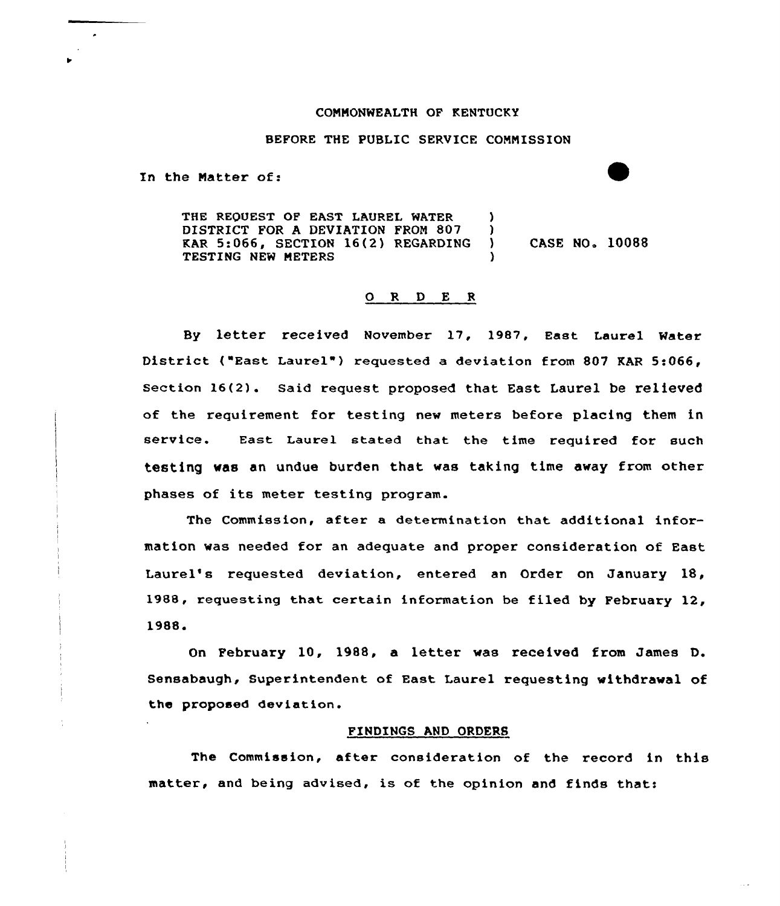## CONMONWEALTH QF KENTUCKY

## BEFORE THE PUBLIC SERVICE COMNISSION

In the Natter of:

THE REQUEST OF EAST LAUREL WATER (1995)<br>DISTRICT FOR A DEVIATION FROM 807 (1995) DISTRICT FOR A DEVIATION FROM 807 )<br>
KAR 5:066, SECTION 16(2) REGARDING ) KAR 5:066, SECTION 16(2) REGARDING ) CASE NO. 10088 TESTING NEW METERS

## 0 <sup>R</sup> <sup>D</sup> E <sup>R</sup>

By letter received November 17, 1987, East Laurel Water District ("East Laurel") requested a deviation from 807 KAR 5:066, Section 16(2). Said request proposed that East Laurel be relieved of the requirement for testing new meters before placing them in service. East Laurel stated that the time required for such testing was an undue burden that was taking time away from other phases of its meter testing program.

The Commission, after a determination that additional information was needed for an adequate and proper consideration of East Laurel's requested deviation, entered an Order on January 18, 1988, requesting that certain information be filed by February 12, 1988.

February 10, 1988, a letter was received from James D. Sensabaugh, Superintendent of East Laurel requesting withdrawal of the proposed deviation.

## FINDINGS AND ORDERS

The Commission, after consideration of the record in this matter, and being advised, is of the opinion and finds that: